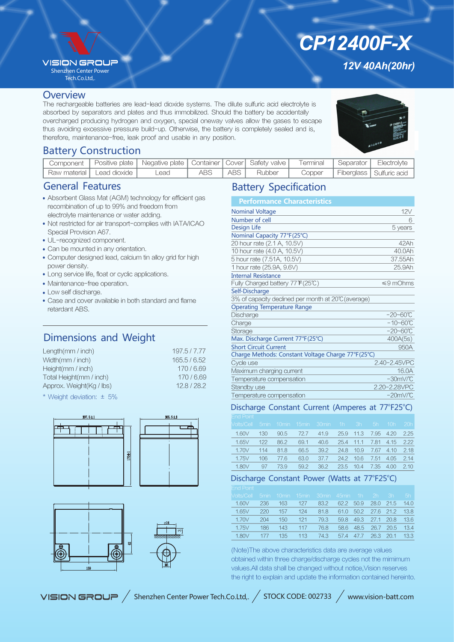## **VISION GROU?**

Shenzhen Center Power Tech.Co.Ltd,.

### **Overview**

The rechargeable batteries are lead-lead dioxide systems. The dilute sulfuric acid electrolyte is absorbed by separators and plates and thus immobilized. Should the battery be accidentally overcharged producing hydrogen and oxygen, special oneway valves allow the gases to escape thus avoiding excessive pressure build-up. Otherwise, the battery is completely sealed and is, therefore, maintenance-free, leak proof and usable in any position.

*12V 40Ah(20hr)*

*CP12400F-X*

# Battery Construction

|                             | Component   Positive plate   Negative plate   Container   Cover   Safety valve |      |       |        | Terminal   Separator   Electrolyte |                            |
|-----------------------------|--------------------------------------------------------------------------------|------|-------|--------|------------------------------------|----------------------------|
| Raw material   Lead dioxide | Lead                                                                           | ABS. | ABS I | Rubber | Copper                             | Fiberglass   Sulfuric acid |

# General Features

- Absorbent Glass Mat (AGM) technology for efficient gas recombination of up to 99% and freedom from electrolyte maintenance or water adding.
- Not restricted for air transport-complies with IATA/ICAO Special Provision A67.
- UL-recognized component.
- Can be mounted in any orientation.
- Computer designed lead, calcium tin alloy grid for high power density.
- Long service life, float or cyclic applications.
- Maintenance-free operation.
- Low self discharge.
- Case and cover available in both standard and flame retardant ABS.

# Dimensions and Weight

| Length(mm / inch)        | 197.5/7.77 |
|--------------------------|------------|
| Width(mm / inch)         | 165.5/6.52 |
| Height(mm / inch)        | 170/6.69   |
| Total Height(mm / inch)  | 170/6.69   |
| Approx. Weight(Kg / lbs) | 12.8/28.2  |
|                          |            |

\* Weight deviation: ± 5%





# Battery Specification

| <b>Performance Characteristics</b>                 |                      |
|----------------------------------------------------|----------------------|
| <b>Nominal Voltage</b>                             | 12V                  |
| Number of cell                                     | 6                    |
| <b>Design Life</b>                                 | 5 years              |
| Nominal Capacity 77°F(25°C)                        |                      |
| 20 hour rate (2.1 A, 10.5V)                        | 42Ah                 |
| 10 hour rate (4.0 A, 10.5V)                        | 40.0Ah               |
| 5 hour rate (7.51A, 10.5V)                         | 37.55Ah              |
| 1 hour rate (25.9A, 9.6V)                          | 25.9Ah               |
| <b>Internal Resistance</b>                         |                      |
| Fully Charged battery 77°F(25℃)                    | $\leq 9$ mOhms       |
| Self-Discharge                                     |                      |
| 3% of capacity declined per month at 20℃ (average) |                      |
| <b>Operating Temperature Range</b>                 |                      |
| Discharge                                          | $-20 - 60^{\circ}C$  |
| Charge                                             | $-10 - 60^{\circ}C$  |
| Storage                                            | $-20 - 60^{\circ}C$  |
| Max. Discharge Current 77°F(25°C)                  | 400A(5s)             |
| <b>Short Circuit Current</b>                       | 950A                 |
| Charge Methods: Constant Voltage Charge 77°F(25°C) |                      |
| Cycle use                                          | 2.40-2.45VPC         |
| Maximum charging current                           | 16.0A                |
| Temperature compensation                           | $-30mV$ <sup>C</sup> |
| Standby use                                        | 2.20-2.28VPC         |
| Temperature compensation                           | $-20mV/C$            |

## Discharge Constant Current (Amperes at 77°F25°C)

| <b>End Point</b>                                              |     |      |      |                                    |           |                     |                |         |
|---------------------------------------------------------------|-----|------|------|------------------------------------|-----------|---------------------|----------------|---------|
| Molts/Cell 5min 10min 15min 30min 1h  3h  5h  10h  20h $\mid$ |     |      |      |                                    |           |                     |                |         |
| 1.60V                                                         | 130 | 90.5 |      | 72.7 41.9 25.9 11.3 7.95 4.20 2.25 |           |                     |                |         |
| 1.65V                                                         | 122 | 86.2 | 69.1 | 40.6 25.4 11.1 7.81 4.15 2.22      |           |                     |                |         |
| 1.70V                                                         | 114 | 81.8 | 66.5 | 39.2                               | 24.8 10.9 |                     | 7.67 4.10 2.18 |         |
| 1.75V                                                         | 106 | 77.6 | 63.0 | 37.7 24.2 10.6                     |           |                     | 7.51 4.05 2.14 |         |
| 1.80V                                                         | 97  | 73.9 | 59.2 | 36.2                               |           | 23.5 10.4 7.35 4.00 |                | $-2.10$ |

## Discharge Constant Power (Watts at 77°F25°C)

| <b>Nolts/Cell</b> |     |        |         | 5min 10min 15min 30min 45min 1h 2h 3h |                          |                     | 5h      |
|-------------------|-----|--------|---------|---------------------------------------|--------------------------|---------------------|---------|
| 1.60V             | 236 | 163    | 127     | 83.2                                  |                          | 62.2 50.9 28.0 21.5 | 14.0    |
| 1.65V             | 220 | $-157$ | 124     |                                       | 81.8 61.0 50.2 27.6 21.2 |                     | 13.8    |
| 1.70V             | 204 | 150    | $-121$  | 79.3                                  |                          | 59.8 49.3 27.1 20.8 | - 13.6  |
| $-1.75V$          | 186 | 143    | 117     | 76.8                                  |                          | 58.6 48.5 26.7 20.5 | 13.4    |
| $-1.80V$          | 177 |        | 135 113 | 74.3                                  |                          | 57.4 47.7 26.3 20.1 | $-13.3$ |
|                   |     |        |         |                                       |                          |                     |         |

(Note)The above characteristics data are average values obtained within three charge/discharge cycles not the mimimum values.All data shall be changed without notice,Vision reserves the right to explain and update the information contained hereinto.

VISION GROUP / Shenzhen Center Power Tech.Co.Ltd,. / STOCK CODE: 002733 / www.vision-batt.com